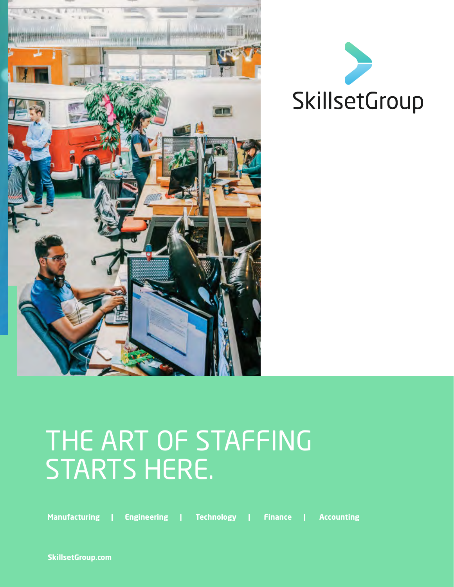



## THE ART OF STAFFING STARTS HERE.

**Manufacturing | Engineering | Technology | Finance | Accounting**

**SkillsetGroup.com**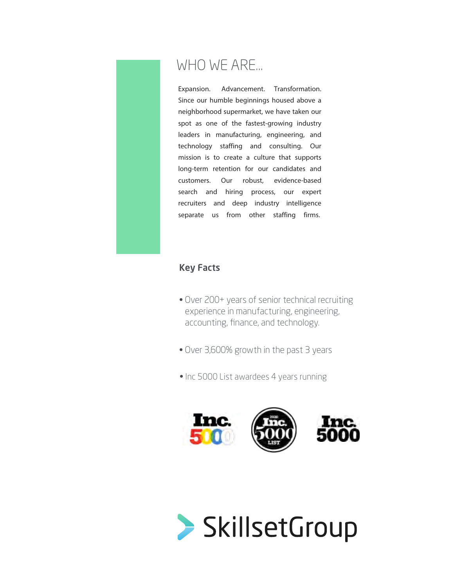

#### WHO WE ARE...

Expansion. Advancement. Transformation. Since our humble beginnings housed above a neighborhood supermarket, we have taken our spot as one of the fastest-growing industry leaders in manufacturing, engineering, and technology staffing and consulting. Our mission is to create a culture that supports long-term retention for our candidates and customers. Our robust, evidence-based search and hiring process, our expert recruiters and deep industry intelligence separate us from other staffing firms.

#### Key Facts

- Over 200+ years of senior technical recruiting experience in manufacturing, engineering, accounting, finance, and technology.
- Over 3,600% growth in the past 3 years
- Inc 5000 List awardees 4 years running



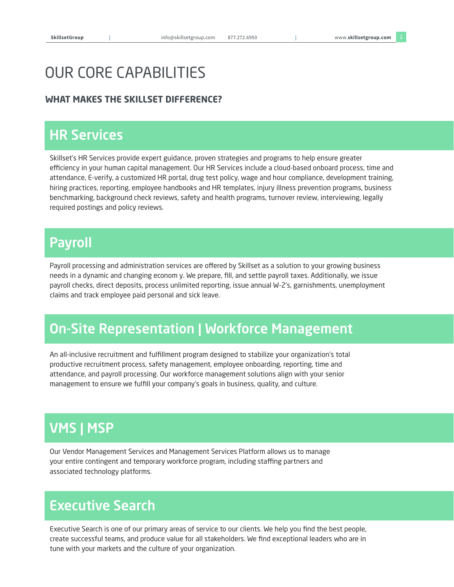#### OUR CORE CAPABILITIES

#### **WHAT MAKES THE SKILLSET DIFFERENCE?**

#### **HR Services**

 $\mathcal{H}_{\rm{S}}$ 

Skillset's HR Services provide expert guidance, proven strategies and programs to help ensure greater efficiency in your human capital management. Our HR Services include a cloud-based onboard process, time and attendance, E-verify, a customized HR portal, drug test policy, wage and hour compliance, development training, hiring practices, reporting, employee handbooks and HR templates, injury illness prevention programs, business benchmarking, background check reviews, safety and health programs, turnover review, interviewing, legally required postings and policy reviews.

#### Payroll

Payroll processing and administration services are offered by Skillset as a solution to your growing business needs in a dynamic and changing econom y. We prepare, fill, and settle payroll taxes. Additionally, we issue payroll checks, direct deposits, process unlimited reporting, issue annual W-2's, garnishments, unemployment claims and track employee paid personal and sick leave.

#### On-Site On-Site Representation | Workforce Management

An all-inclusive recruitment and fulfillment program designed to stabilize your organization's total productive recruitment process, safety management, employee onboarding, reporting, time and attendance, and payroll processing. Our workforce management solutions align with your senior management to ensure we fulfill your company's goals in business, quality, and culture.

#### VMS | MSP

Our Vendor Management Services and Management Services Platform allows us to manage your entire contingent and temporary workforce program, including staffing partners and associated technology platforms.

#### Executive Search

Executive Search is one of our primary areas of service to our clients. We help you find the best people, create successful teams, and produce value for all stakeholders. We find exceptional leaders who are in tune with your markets and the culture of your organization.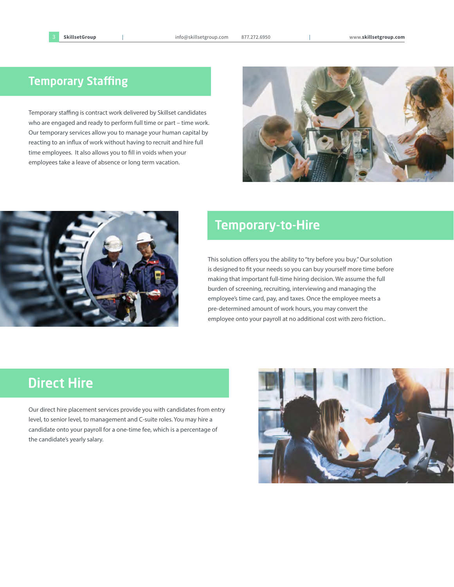#### **Temporary Staffing**

Temporary staffing is contract work delivered by Skillset candidates who are engaged and ready to perform full time or part – time work. Our temporary services allow you to manage your human capital by reacting to an influx of work without having to recruit and hire full time employees. It also allows you to fill in voids when your employees take a leave of absence or long term vacation.





#### **Temporary-to-Hire**

This solution offers you the ability to "try before you buy." Our solution is designed to fit your needs so you can buy yourself more time before making that important full-time hiring decision. We assume the full burden of screening, recruiting, interviewing and managing the employee's time card, pay, and taxes. Once the employee meets a pre-determined amount of work hours, you may convert the employee onto your payroll at no additional cost with zero friction..

#### **Direct Hire**

Our direct hire placement services provide you with candidates from entry level, to senior level, to management and C-suite roles. You may hire a candidate onto your payroll for a one-time fee, which is a percentage of the candidate's yearly salary.

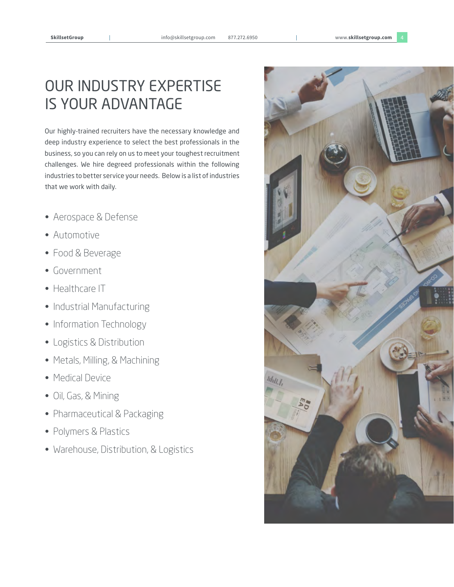#### OUR INDUSTRY EXPERTISE IS YOUR ADVANTAGE

Our highly-trained recruiters have the necessary knowledge and deep industry experience to select the best professionals in the business, so you can rely on us to meet your toughest recruitment challenges. We hire degreed professionals within the following industries to better service your needs. Below is a list of industries that we work with daily.

- Aerospace & Defense
- Automotive
- Food & Beverage
- Government
- Healthcare IT
- Industrial Manufacturing
- Information Technology
- Logistics & Distribution
- Metals, Milling, & Machining
- Medical Device
- Oil, Gas, & Mining
- Pharmaceutical & Packaging
- Polymers & Plastics
- Warehouse, Distribution, & Logistics

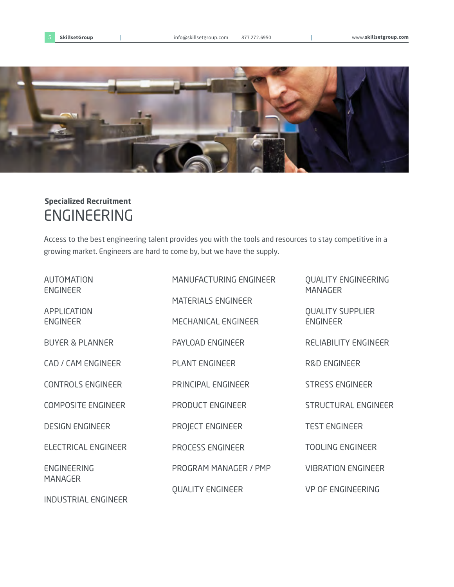

#### ENGINEERING **Specialized Recruitment**

Access to the best engineering talent provides you with the tools and resources to stay competitive in a growing market. Engineers are hard to come by, but we have the supply.

| <b>AUTOMATION</b><br><b>ENGINEER</b> | MANUFACTURING ENGINEER    | <b>QUALITY ENGINEERING</b><br><b>MANAGER</b> |
|--------------------------------------|---------------------------|----------------------------------------------|
| APPLICATION                          | <b>MATERIALS ENGINEER</b> | <b>QUALITY SUPPLIER</b>                      |
| <b>ENGINEER</b>                      | MECHANICAL ENGINEER       | <b>ENGINEER</b>                              |
| <b>BUYER &amp; PLANNER</b>           | PAYLOAD ENGINEER          | RELIABILITY ENGINEER                         |
| CAD / CAM ENGINEER                   | <b>PLANT ENGINEER</b>     | <b>R&amp;D ENGINEER</b>                      |
| <b>CONTROLS ENGINEER</b>             | PRINCIPAL ENGINEER        | <b>STRESS ENGINEER</b>                       |
| <b>COMPOSITE ENGINEER</b>            | PRODUCT ENGINEER          | <b>STRUCTURAL ENGINEER</b>                   |
| <b>DESIGN ENGINEER</b>               | PROJECT ENGINEER          | <b>TEST ENGINEER</b>                         |
| ELECTRICAL ENGINEER                  | PROCESS ENGINEER          | <b>TOOLING ENGINEER</b>                      |
| <b>ENGINEERING</b><br><b>MANAGER</b> | PROGRAM MANAGER / PMP     | <b>VIBRATION ENGINEER</b>                    |
|                                      | <b>QUALITY ENGINEER</b>   | <b>VP OF ENGINEERING</b>                     |

INDUSTRIAL ENGINEER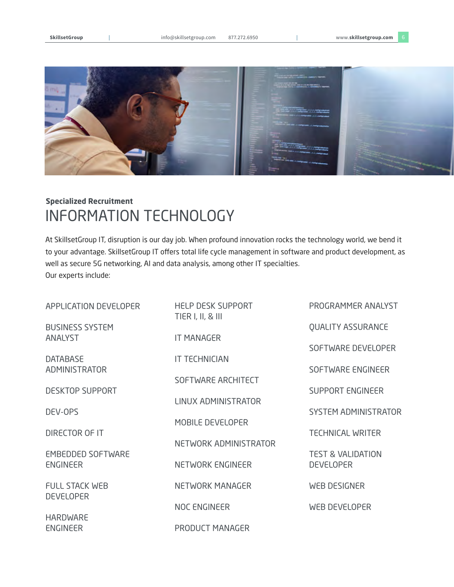**SkillsetGroup** | info@skillsetgroup.com 877.272.6950 | www.**skillsetgroup.com** 6



#### INFORMATION TECHNOLOGY **Specialized Recruitment**

At SkillsetGroup IT, disruption is our day job. When profound innovation rocks the technology world, we bend it to your advantage. SkillsetGroup IT offers total life cycle management in software and product development, as well as secure 5G networking, AI and data analysis, among other IT specialties. Our experts include:

| APPLICATION DEVELOPER                       | <b>HELP DESK SUPPORT</b><br>TIER I, II, & III | PROGRAMMER ANALYST                               |
|---------------------------------------------|-----------------------------------------------|--------------------------------------------------|
| <b>BUSINESS SYSTEM</b>                      |                                               | <b>QUALITY ASSURANCE</b>                         |
| <b>ANALYST</b>                              | <b>IT MANAGER</b>                             | SOFTWARE DEVELOPER                               |
| <b>DATABASE</b>                             | <b>IT TECHNICIAN</b>                          |                                                  |
| ADMINISTRATOR                               | SOFTWARE ARCHITECT                            | SOFTWARE ENGINEER                                |
| <b>DESKTOP SUPPORT</b>                      |                                               | SUPPORT ENGINEER                                 |
| DEV-OPS                                     | LINUX ADMINISTRATOR                           | <b>SYSTEM ADMINISTRATOR</b>                      |
|                                             | <b>MOBILE DEVELOPER</b>                       |                                                  |
| DIRECTOR OF IT                              | NETWORK ADMINISTRATOR                         | <b>TECHNICAL WRITER</b>                          |
| <b>EMBEDDED SOFTWARE</b><br><b>ENGINEER</b> | NETWORK ENGINEER                              | <b>TEST &amp; VALIDATION</b><br><b>DEVELOPER</b> |
|                                             |                                               |                                                  |
| <b>FULL STACK WEB</b><br><b>DEVELOPER</b>   | NETWORK MANAGER                               | <b>WEB DESIGNER</b>                              |
|                                             | NOC ENGINEER                                  | <b>WEB DEVELOPER</b>                             |
| <b>HARDWARE</b><br><b>ENGINEER</b>          | PRODUCT MANAGER                               |                                                  |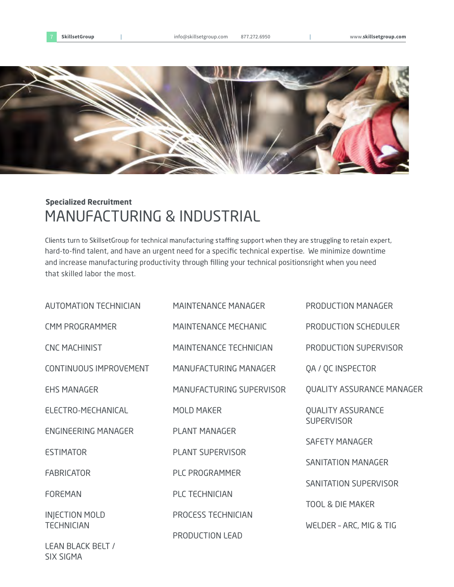



#### MANUFACTURING & INDUSTRIAL **Specialized Recruitment**

Clients turn to SkillsetGroup for technical manufacturing staffing support when they are struggling to retain expert, hard-to-find talent, and have an urgent need for a specific technical expertise. We minimize downtime and increase manufacturing productivity through filling your technical positionsright when you need that skilled labor the most.

| <b>AUTOMATION TECHNICIAN</b>  | <b>MAINTENANCE MANAGER</b>    | PRODUCTION MANAGER                            |
|-------------------------------|-------------------------------|-----------------------------------------------|
| <b>CMM PROGRAMMER</b>         | <b>MAINTENANCE MECHANIC</b>   | PRODUCTION SCHEDULER                          |
| <b>CNC MACHINIST</b>          | <b>MAINTENANCE TECHNICIAN</b> | PRODUCTION SUPERVISOR                         |
| <b>CONTINUOUS IMPROVEMENT</b> | MANUFACTURING MANAGER         | QA / QC INSPECTOR                             |
| <b>EHS MANAGER</b>            | MANUFACTURING SUPERVISOR      | <b>QUALITY ASSURANCE MANAGER</b>              |
| ELECTRO-MECHANICAL            | <b>MOLD MAKER</b>             | <b>QUALITY ASSURANCE</b><br><b>SUPERVISOR</b> |
| <b>ENGINEERING MANAGER</b>    | <b>PLANT MANAGER</b>          | <b>SAFETY MANAGER</b>                         |
| <b>ESTIMATOR</b>              | <b>PLANT SUPERVISOR</b>       | <b>SANITATION MANAGER</b>                     |
| <b>FABRICATOR</b>             | <b>PLC PROGRAMMER</b>         | SANITATION SUPERVISOR                         |
| <b>FOREMAN</b>                | PLC TECHNICIAN                |                                               |
| <b>INJECTION MOLD</b>         | PROCESS TECHNICIAN            | <b>TOOL &amp; DIE MAKER</b>                   |
| <b>TECHNICIAN</b>             | PRODUCTION LEAD               | WELDER - ARC, MIG & TIG                       |
| <b>LEAN BLACK BELT /</b>      |                               |                                               |

SIX SIGMA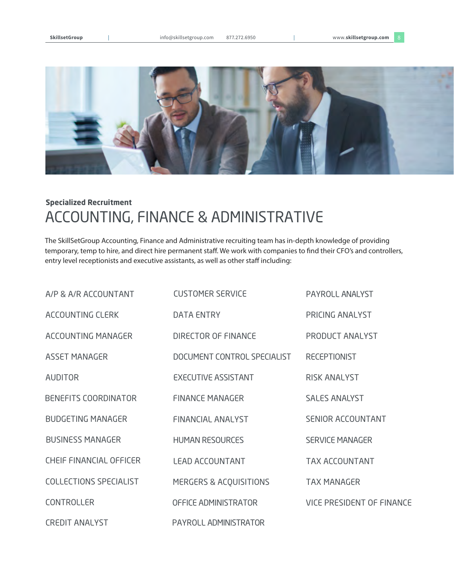

#### ACCOUNTING, FINANCE & ADMINISTRATIVE **Specialized Recruitment**

The SkillSetGroup Accounting, Finance and Administrative recruiting team has in-depth knowledge of providing temporary, temp to hire, and direct hire permanent staff. We work with companies to find their CFO's and controllers, entry level receptionists and executive assistants, as well as other staff including:

| A/P & A/R ACCOUNTANT           | <b>CUSTOMER SERVICE</b>     | PAYROLL ANALYST           |
|--------------------------------|-----------------------------|---------------------------|
| ACCOUNTING CLERK               | <b>DATA ENTRY</b>           | PRICING ANALYST           |
| ACCOUNTING MANAGER             | DIRECTOR OF FINANCE         | PRODUCT ANALYST           |
| <b>ASSET MANAGER</b>           | DOCUMENT CONTROL SPECIALIST | <b>RECEPTIONIST</b>       |
| <b>AUDITOR</b>                 | <b>EXECUTIVE ASSISTANT</b>  | <b>RISK ANALYST</b>       |
| BENEFITS COORDINATOR           | <b>FINANCE MANAGER</b>      | <b>SALES ANALYST</b>      |
| <b>BUDGETING MANAGER</b>       | <b>FINANCIAL ANALYST</b>    | <b>SENIOR ACCOUNTANT</b>  |
| <b>BUSINESS MANAGER</b>        | <b>HUMAN RESOURCES</b>      | <b>SERVICE MANAGER</b>    |
| <b>CHEIF FINANCIAL OFFICER</b> | <b>LEAD ACCOUNTANT</b>      | <b>TAX ACCOUNTANT</b>     |
| <b>COLLECTIONS SPECIALIST</b>  | MERGERS & ACQUISITIONS      | <b>TAX MANAGER</b>        |
| <b>CONTROLLER</b>              | OFFICE ADMINISTRATOR        | VICE PRESIDENT OF FINANCE |
| <b>CREDIT ANALYST</b>          | PAYROLL ADMINISTRATOR       |                           |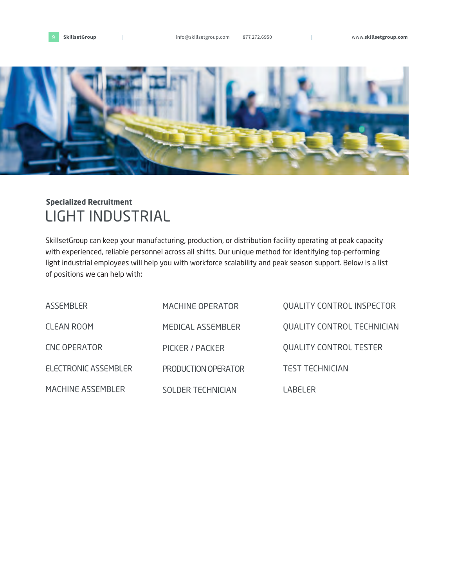

#### LIGHT INDUSTRIAL **Specialized Recruitment**

SkillsetGroup can keep your manufacturing, production, or distribution facility operating at peak capacity with experienced, reliable personnel across all shifts. Our unique method for identifying top-performing light industrial employees will help you with workforce scalability and peak season support. Below is a list of positions we can help with:

| <b>ASSEMBLER</b>            | MACHINE OPERATOR           | <b>QUALITY CONTROL INSPECTOR</b>  |
|-----------------------------|----------------------------|-----------------------------------|
| <b>CLEAN ROOM</b>           | MEDICAL ASSEMBLER          | <b>QUALITY CONTROL TECHNICIAN</b> |
| <b>CNC OPERATOR</b>         | PICKER / PACKER            | <b>QUALITY CONTROL TESTER</b>     |
| <b>ELECTRONIC ASSEMBLER</b> | <b>PRODUCTION OPERATOR</b> | <b>TEST TECHNICIAN</b>            |
| <b>MACHINE ASSEMBLER</b>    | <b>SOLDER TECHNICIAN</b>   | LABELER                           |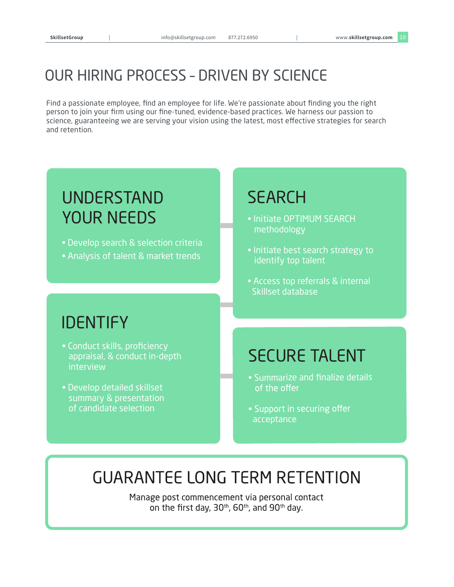#### OUR HIRING PROCESS – DRIVEN BY SCIENCE

Find a passionate employee, find an employee for life. We're passionate about finding you the right person to join your firm using our fine-tuned, evidence-based practices. We harness our passion to science, guaranteeing we are serving your vision using the latest, most effective strategies for search and retention.

#### UNDERSTAND YOUR NEEDS

- Develop search & selection criteria
- Analysis of talent & market trends

#### **SEARCH**

- Initiate OPTIMUM SEARCH methodology
- Initiate best search strategy to identify top talent
- Access top referrals & internal Skillset database

#### IDENTIFY

- Conduct skills, proficiency appraisal, & conduct in-depth interview
- Develop detailed skillset summary & presentation of candidate selection

#### SECURE TALENT

- Summarize and finalize details of the offer
- Support in securing offer acceptance

### **GUARANTEE LONG TERM RETENTION**

Manage post commencement via personal contact on the first day, 30<sup>th</sup>, 60<sup>th</sup>, and 90<sup>th</sup> day.